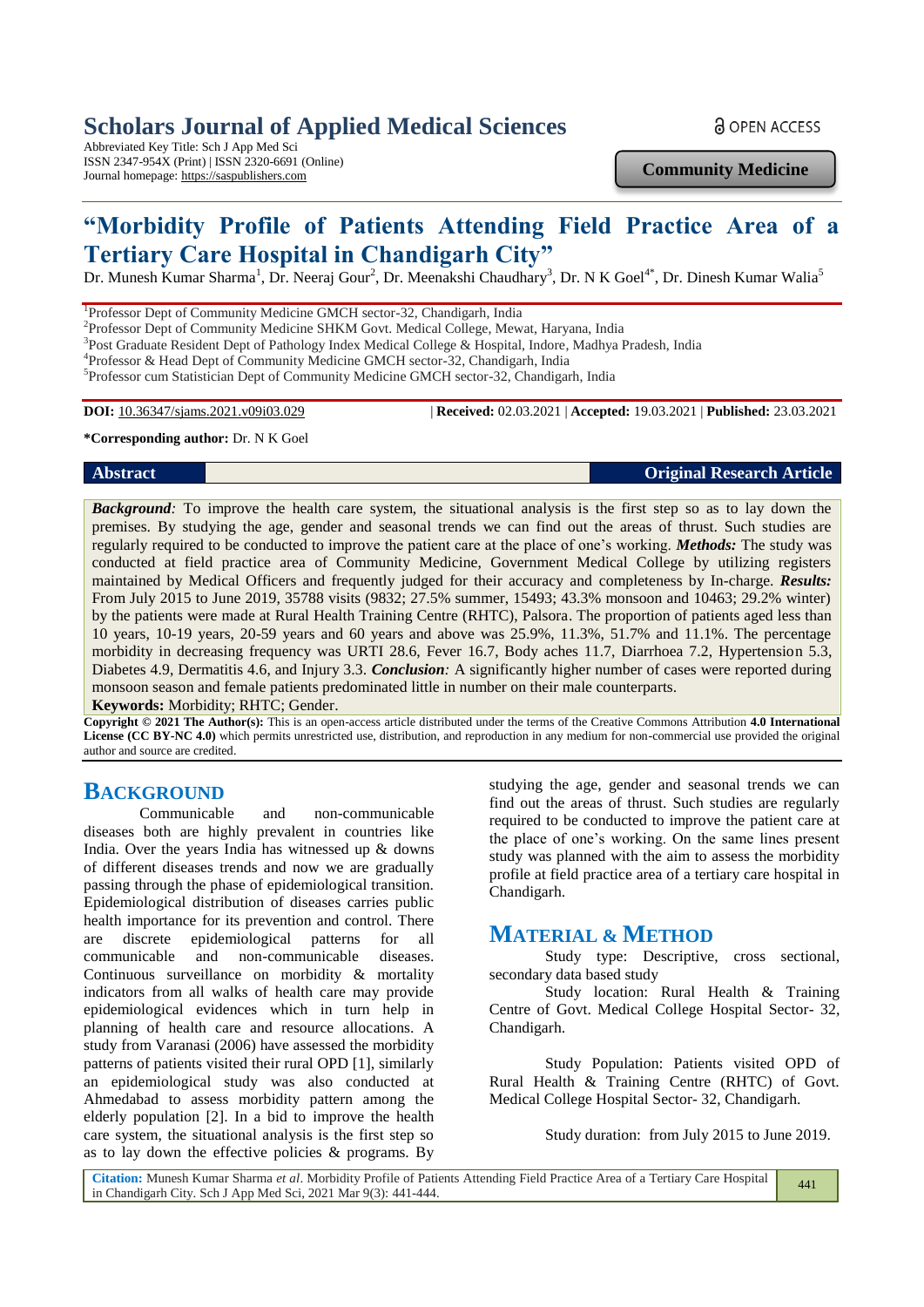# **Scholars Journal of Applied Medical Sciences**

Abbreviated Key Title: Sch J App Med Sci ISSN 2347-954X (Print) | ISSN 2320-6691 (Online) Journal homepage: https://saspublishers.com

**a** OPEN ACCESS

**Community Medicine**

# **"Morbidity Profile of Patients Attending Field Practice Area of a Tertiary Care Hospital in Chandigarh City"**

Dr. Munesh Kumar Sharma<sup>1</sup>, Dr. Neeraj Gour<sup>2</sup>, Dr. Meenakshi Chaudhary<sup>3</sup>, Dr. N K Goel<sup>4\*</sup>, Dr. Dinesh Kumar Walia<sup>5</sup>

<sup>1</sup>Professor Dept of Community Medicine GMCH sector-32, Chandigarh, India

<sup>2</sup>Professor Dept of Community Medicine SHKM Govt. Medical College, Mewat, Haryana, India

<sup>3</sup>Post Graduate Resident Dept of Pathology Index Medical College & Hospital, Indore, Madhya Pradesh, India

4 Professor & Head Dept of Community Medicine GMCH sector-32, Chandigarh, India

5 Professor cum Statistician Dept of Community Medicine GMCH sector-32, Chandigarh, India

**DOI:** 10.36347/sjams.2021.v09i03.029 | **Received:** 02.03.2021 | **Accepted:** 19.03.2021 | **Published:** 23.03.2021

#### **\*Corresponding author:** Dr. N K Goel

**Abstract Original Research Article**

*Background:* To improve the health care system, the situational analysis is the first step so as to lay down the premises. By studying the age, gender and seasonal trends we can find out the areas of thrust. Such studies are regularly required to be conducted to improve the patient care at the place of one's working. *Methods:* The study was conducted at field practice area of Community Medicine, Government Medical College by utilizing registers maintained by Medical Officers and frequently judged for their accuracy and completeness by In-charge. *Results:* From July 2015 to June 2019, 35788 visits (9832; 27.5% summer, 15493; 43.3% monsoon and 10463; 29.2% winter) by the patients were made at Rural Health Training Centre (RHTC), Palsora. The proportion of patients aged less than 10 years, 10-19 years, 20-59 years and 60 years and above was 25.9%, 11.3%, 51.7% and 11.1%. The percentage morbidity in decreasing frequency was URTI 28.6, Fever 16.7, Body aches 11.7, Diarrhoea 7.2, Hypertension 5.3, Diabetes 4.9, Dermatitis 4.6, and Injury 3.3. *Conclusion:* A significantly higher number of cases were reported during monsoon season and female patients predominated little in number on their male counterparts. **Keywords:** Morbidity; RHTC; Gender.

**Copyright © 2021 The Author(s):** This is an open-access article distributed under the terms of the Creative Commons Attribution **4.0 International License (CC BY-NC 4.0)** which permits unrestricted use, distribution, and reproduction in any medium for non-commercial use provided the original author and source are credited.

## **BACKGROUND**

Communicable and non-communicable diseases both are highly prevalent in countries like India. Over the years India has witnessed up & downs of different diseases trends and now we are gradually passing through the phase of epidemiological transition. Epidemiological distribution of diseases carries public health importance for its prevention and control. There are discrete epidemiological patterns for all communicable and non-communicable diseases. Continuous surveillance on morbidity & mortality indicators from all walks of health care may provide epidemiological evidences which in turn help in planning of health care and resource allocations. A study from Varanasi (2006) have assessed the morbidity patterns of patients visited their rural OPD [1], similarly an epidemiological study was also conducted at Ahmedabad to assess morbidity pattern among the elderly population [2]. In a bid to improve the health care system, the situational analysis is the first step so as to lay down the effective policies & programs. By

studying the age, gender and seasonal trends we can find out the areas of thrust. Such studies are regularly required to be conducted to improve the patient care at the place of one's working. On the same lines present study was planned with the aim to assess the morbidity profile at field practice area of a tertiary care hospital in Chandigarh.

## **MATERIAL & METHOD**

Study type: Descriptive, cross sectional, secondary data based study

Study location: Rural Health & Training Centre of Govt. Medical College Hospital Sector- 32, Chandigarh.

Study Population: Patients visited OPD of Rural Health & Training Centre (RHTC) of Govt. Medical College Hospital Sector- 32, Chandigarh.

Study duration: from July 2015 to June 2019.

**Citation:** Munesh Kumar Sharma *et al*. Morbidity Profile of Patients Attending Field Practice Area of a Tertiary Care Hospital in Chandigarh City. Sch J App Med Sci, 2021 Mar 9(3): 441-444.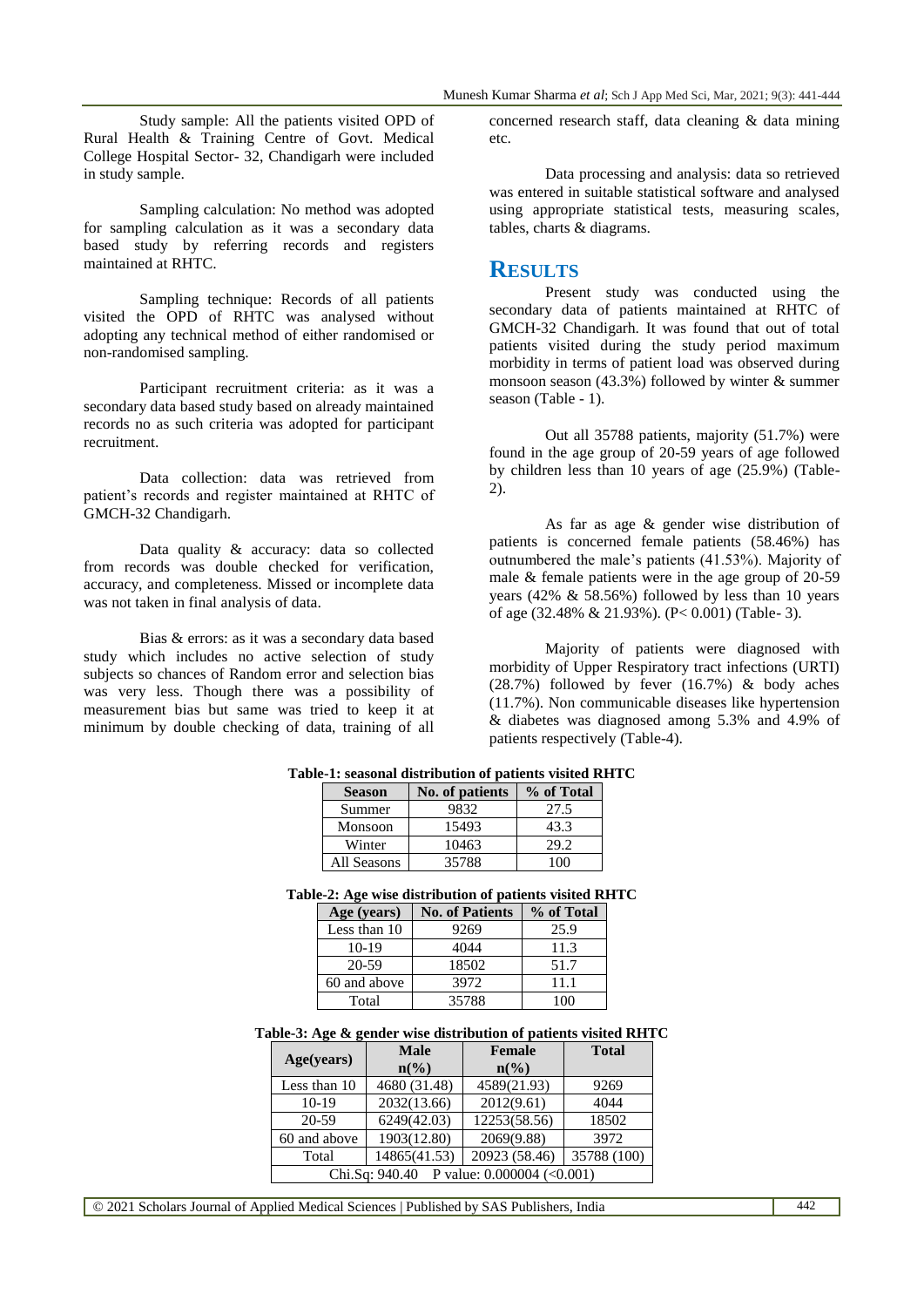Study sample: All the patients visited OPD of Rural Health & Training Centre of Govt. Medical College Hospital Sector- 32, Chandigarh were included in study sample.

Sampling calculation: No method was adopted for sampling calculation as it was a secondary data based study by referring records and registers maintained at RHTC.

Sampling technique: Records of all patients visited the OPD of RHTC was analysed without adopting any technical method of either randomised or non-randomised sampling.

Participant recruitment criteria: as it was a secondary data based study based on already maintained records no as such criteria was adopted for participant recruitment.

Data collection: data was retrieved from patient's records and register maintained at RHTC of GMCH-32 Chandigarh.

Data quality & accuracy: data so collected from records was double checked for verification, accuracy, and completeness. Missed or incomplete data was not taken in final analysis of data.

Bias & errors: as it was a secondary data based study which includes no active selection of study subjects so chances of Random error and selection bias was very less. Though there was a possibility of measurement bias but same was tried to keep it at minimum by double checking of data, training of all

concerned research staff, data cleaning & data mining etc.

Data processing and analysis: data so retrieved was entered in suitable statistical software and analysed using appropriate statistical tests, measuring scales, tables, charts & diagrams.

## **RESULTS**

Present study was conducted using the secondary data of patients maintained at RHTC of GMCH-32 Chandigarh. It was found that out of total patients visited during the study period maximum morbidity in terms of patient load was observed during monsoon season (43.3%) followed by winter  $&$  summer season (Table - 1).

Out all 35788 patients, majority (51.7%) were found in the age group of 20-59 years of age followed by children less than 10 years of age (25.9%) (Table-2).

As far as age & gender wise distribution of patients is concerned female patients (58.46%) has outnumbered the male's patients (41.53%). Majority of male & female patients were in the age group of 20-59 years (42% & 58.56%) followed by less than 10 years of age (32.48% & 21.93%). (P< 0.001) (Table- 3).

Majority of patients were diagnosed with morbidity of Upper Respiratory tract infections (URTI) (28.7%) followed by fever (16.7%) & body aches (11.7%). Non communicable diseases like hypertension & diabetes was diagnosed among 5.3% and 4.9% of patients respectively (Table-4).

| <b>Season</b> | No. of patients | % of Total |
|---------------|-----------------|------------|
| Summer        | 9832            | 27.5       |
| Monsoon       | 15493           | 43.3       |
| Winter        | 10463           | 29.2       |
| All Seasons   | 35788           | 1 በበ       |

#### **Table-1: seasonal distribution of patients visited RHTC**

### **Table-2: Age wise distribution of patients visited RHTC**

| Age (years)  | <b>No. of Patients</b> | % of Total |
|--------------|------------------------|------------|
| Less than 10 | 9269                   | 25.9       |
| $10-19$      | 4044                   | 11.3       |
| 20-59        | 18502                  | 51.7       |
| 60 and above | 3972                   | 11.1       |
| Total        | 35788                  | 1 ( ) ( )  |

#### **Table-3: Age & gender wise distribution of patients visited RHTC**

| Age(years)                                    | <b>Male</b>                 | <b>Female</b>               | <b>Total</b> |
|-----------------------------------------------|-----------------------------|-----------------------------|--------------|
|                                               | $n\left(\frac{0}{0}\right)$ | $n\left(\frac{0}{0}\right)$ |              |
| Less than 10                                  | 4680 (31.48)                | 4589(21.93)                 | 9269         |
| $10-19$                                       | 2032(13.66)                 | 2012(9.61)                  | 4044         |
| 20-59                                         | 6249(42.03)                 | 12253(58.56)                | 18502        |
| 60 and above                                  | 1903(12.80)                 | 2069(9.88)                  | 3972         |
| Total                                         | 14865(41.53)                | 20923 (58.46)               | 35788 (100)  |
| Chi.Sq: $940.40$ P value: $0.000004$ (<0.001) |                             |                             |              |

© 2021 Scholars Journal of Applied Medical Sciences | Published by SAS Publishers, India 442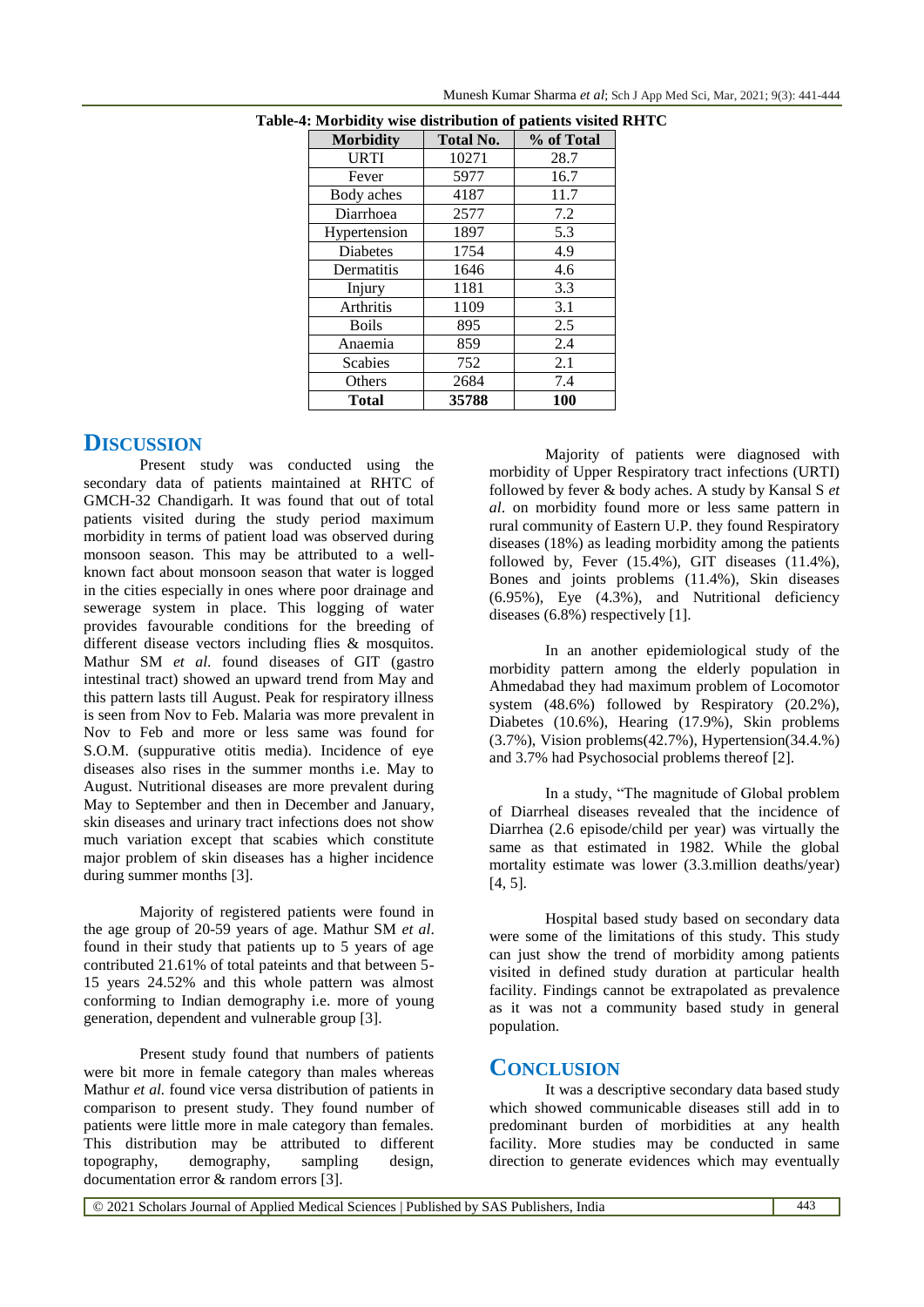| <b>Morbidity</b> | <b>Total No.</b> | % of Total |
|------------------|------------------|------------|
| <b>URTI</b>      | 10271            | 28.7       |
| Fever            | 5977             | 16.7       |
| Body aches       | 4187             | 11.7       |
| Diarrhoea        | 2577             | 7.2        |
| Hypertension     | 1897             | 5.3        |
| <b>Diabetes</b>  | 1754             | 4.9        |
| Dermatitis       | 1646             | 4.6        |
| Injury           | 1181             | 3.3        |
| <b>Arthritis</b> | 1109             | 3.1        |
| <b>Boils</b>     | 895              | 2.5        |
| Anaemia          | 859              | 2.4        |
| <b>Scabies</b>   | 752              | 2.1        |
| Others           | 2684             | 7.4        |
| Total            | 35788            | 100        |

**Table-4: Morbidity wise distribution of patients visited RHTC**

Munesh Kumar Sharma *et al*; Sch J App Med Sci, Mar, 2021; 9(3): 441-444

## **DISCUSSION**

Present study was conducted using the secondary data of patients maintained at RHTC of GMCH-32 Chandigarh. It was found that out of total patients visited during the study period maximum morbidity in terms of patient load was observed during monsoon season. This may be attributed to a wellknown fact about monsoon season that water is logged in the cities especially in ones where poor drainage and sewerage system in place. This logging of water provides favourable conditions for the breeding of different disease vectors including flies & mosquitos. Mathur SM *et al*. found diseases of GIT (gastro intestinal tract) showed an upward trend from May and this pattern lasts till August. Peak for respiratory illness is seen from Nov to Feb. Malaria was more prevalent in Nov to Feb and more or less same was found for S.O.M. (suppurative otitis media). Incidence of eye diseases also rises in the summer months i.e. May to August. Nutritional diseases are more prevalent during May to September and then in December and January, skin diseases and urinary tract infections does not show much variation except that scabies which constitute major problem of skin diseases has a higher incidence during summer months [3].

Majority of registered patients were found in the age group of 20-59 years of age. Mathur SM *et al*. found in their study that patients up to 5 years of age contributed 21.61% of total pateints and that between 5- 15 years 24.52% and this whole pattern was almost conforming to Indian demography i.e. more of young generation, dependent and vulnerable group [3].

Present study found that numbers of patients were bit more in female category than males whereas Mathur *et al.* found vice versa distribution of patients in comparison to present study. They found number of patients were little more in male category than females. This distribution may be attributed to different topography, demography, sampling design, documentation error & random errors [3].

Majority of patients were diagnosed with morbidity of Upper Respiratory tract infections (URTI) followed by fever & body aches. A study by Kansal S *et al*. on morbidity found more or less same pattern in rural community of Eastern U.P. they found Respiratory diseases (18%) as leading morbidity among the patients followed by, Fever  $(15.4\%)$ , GIT diseases  $(11.4\%)$ , Bones and joints problems (11.4%), Skin diseases (6.95%), Eye (4.3%), and Nutritional deficiency diseases (6.8%) respectively [1].

In an another epidemiological study of the morbidity pattern among the elderly population in Ahmedabad they had maximum problem of Locomotor system (48.6%) followed by Respiratory (20.2%), Diabetes (10.6%), Hearing (17.9%), Skin problems  $(3.7\%)$ , Vision problems $(42.7\%)$ , Hypertension $(34.4\%)$ and 3.7% had Psychosocial problems thereof [2].

In a study, "The magnitude of Global problem of Diarrheal diseases revealed that the incidence of Diarrhea (2.6 episode/child per year) was virtually the same as that estimated in 1982. While the global mortality estimate was lower (3.3.million deaths/year) [4, 5].

Hospital based study based on secondary data were some of the limitations of this study. This study can just show the trend of morbidity among patients visited in defined study duration at particular health facility. Findings cannot be extrapolated as prevalence as it was not a community based study in general population.

## **CONCLUSION**

It was a descriptive secondary data based study which showed communicable diseases still add in to predominant burden of morbidities at any health facility. More studies may be conducted in same direction to generate evidences which may eventually